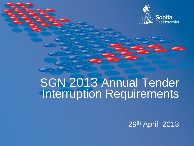

## SGN 2013 Annual Tender Interruption Requirements

29th April 2013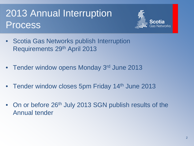#### 2013 Annual Interruption Process



- Scotia Gas Networks publish Interruption Requirements 29th April 2013
- Tender window opens Monday 3rd June 2013
- Tender window closes 5pm Friday 14th June 2013
- On or before 26<sup>th</sup> July 2013 SGN publish results of the Annual tender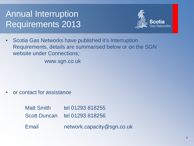#### Annual Interruption Requirements 2013



• Scotia Gas Networks have published it's Interruption Requirements, details are summarised below or on the SGN website under Connections;

www.sgn.co.uk

• or contact for assistance

Matt Smith tel 01293 818255 Scott Duncan tel 01293 818256

Email network.capacity@sgn.co.uk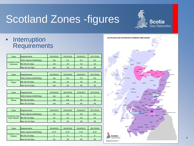# Scotland Zones -figures

• Interruption **Requirements** 

| Zone                                 | <b>Requirements</b>         | 2014/2015 | 2015/2016 | 2016/2017       | 2017/2018 |
|--------------------------------------|-----------------------------|-----------|-----------|-----------------|-----------|
|                                      | <b>SOQ Volume (GWh/Day)</b> | n/a       | 0.2       | 0.2             | 0.2       |
| Scotland Zone: I<br><b>Inverness</b> | Min No Int Days             | n/a       | 10        | 10 <sup>°</sup> | 10        |
|                                      | Max No Int Days             | n/a       | 45        | 45              | 45        |

| Zone                    | <b>Requirements</b>         | 2014/2015 | 2015/2016 | 2016/2017 | 2017/2018       |
|-------------------------|-----------------------------|-----------|-----------|-----------|-----------------|
| Scotland Zone;<br>Angus | <b>SOQ Volume (GWh/Day)</b> | n/a       | 0.5       | 0.5       | 0.5             |
|                         | Min No Int Days             | n/a       | 10        | 10        | 10 <sup>°</sup> |
|                         | Max No Int Days             | n/a       | 45        | 45        | 45              |

|                         | Zone            | <b>Requirements</b>         | 2014/2015 | 2015/2016 | 2016/2017 | 2017/2018 |
|-------------------------|-----------------|-----------------------------|-----------|-----------|-----------|-----------|
|                         |                 | <b>SOQ Volume (GWh/Day)</b> | n/a       | n/a       |           |           |
| Scotland Zone:<br>Moray | Min No Int Days | n/a                         | n/a       | 15        | 15        |           |
|                         |                 | <b>Max No Int Davs</b>      | n/a       | n/a       | 45        | 45        |

|  | Zone                            | <b>Requirements</b>         | 2014/2015 | 2015/2016 | 2016/2017 | 2017/2018       |
|--|---------------------------------|-----------------------------|-----------|-----------|-----------|-----------------|
|  |                                 | <b>SOQ Volume (GWh/Day)</b> | 0.5       | 0.5       | 0.5       | 0.5             |
|  | Scotland Zone;<br>East Kilbride | Min No Int Days             | 10        | 10        | 10        | 10 <sup>°</sup> |
|  |                                 | Max No Int Days             | 30        | 30        | 30        | 30              |

| Zone                                | Requirements                | 2014/2015 | 2015/2016 | 2016/2017 | 2017/2018 |
|-------------------------------------|-----------------------------|-----------|-----------|-----------|-----------|
| Scotland Zone: I<br><b>Straiton</b> | <b>SOQ Volume (GWh/Day)</b> | 0.27      | 0.27      | 0.27      | 0.27      |
|                                     | Min No Int Davs             |           |           |           |           |
|                                     | Max No Int Days             | 30        | 30        | 30        | 30        |



**Scotia**